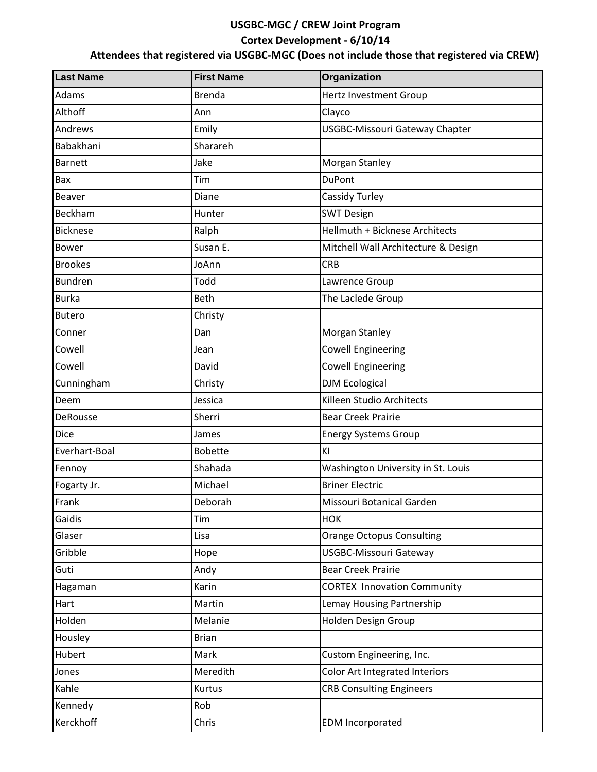## **USGBC-MGC / CREW Joint Program Cortex Development - 6/10/14**

## **Attendees that registered via USGBC-MGC (Does not include those that registered via CREW)**

| <b>Last Name</b> | <b>First Name</b> | Organization                          |
|------------------|-------------------|---------------------------------------|
| Adams            | <b>Brenda</b>     | Hertz Investment Group                |
| Althoff          | Ann               | Clayco                                |
| Andrews          | Emily             | <b>USGBC-Missouri Gateway Chapter</b> |
| Babakhani        | Sharareh          |                                       |
| <b>Barnett</b>   | Jake              | Morgan Stanley                        |
| Bax              | Tim               | <b>DuPont</b>                         |
| <b>Beaver</b>    | Diane             | Cassidy Turley                        |
| Beckham          | Hunter            | <b>SWT Design</b>                     |
| <b>Bicknese</b>  | Ralph             | Hellmuth + Bicknese Architects        |
| <b>Bower</b>     | Susan E.          | Mitchell Wall Architecture & Design   |
| <b>Brookes</b>   | JoAnn             | <b>CRB</b>                            |
| <b>Bundren</b>   | Todd              | Lawrence Group                        |
| <b>Burka</b>     | <b>Beth</b>       | The Laclede Group                     |
| <b>Butero</b>    | Christy           |                                       |
| Conner           | Dan               | Morgan Stanley                        |
| Cowell           | Jean              | <b>Cowell Engineering</b>             |
| Cowell           | David             | <b>Cowell Engineering</b>             |
| Cunningham       | Christy           | <b>DJM Ecological</b>                 |
| Deem             | Jessica           | Killeen Studio Architects             |
| DeRousse         | Sherri            | <b>Bear Creek Prairie</b>             |
| <b>Dice</b>      | James             | <b>Energy Systems Group</b>           |
| Everhart-Boal    | <b>Bobette</b>    | KI                                    |
| Fennoy           | Shahada           | Washington University in St. Louis    |
| Fogarty Jr.      | Michael           | <b>Briner Electric</b>                |
| Frank            | Deborah           | Missouri Botanical Garden             |
| Gaidis           | Tim               | HOK                                   |
| Glaser           | Lisa              | <b>Orange Octopus Consulting</b>      |
| Gribble          | Hope              | <b>USGBC-Missouri Gateway</b>         |
| Guti             | Andy              | <b>Bear Creek Prairie</b>             |
| Hagaman          | Karin             | <b>CORTEX Innovation Community</b>    |
| Hart             | Martin            | Lemay Housing Partnership             |
| Holden           | Melanie           | Holden Design Group                   |
| Housley          | <b>Brian</b>      |                                       |
| Hubert           | Mark              | Custom Engineering, Inc.              |
| Jones            | Meredith          | <b>Color Art Integrated Interiors</b> |
| Kahle            | Kurtus            | <b>CRB Consulting Engineers</b>       |
| Kennedy          | Rob               |                                       |
| Kerckhoff        | Chris             | <b>EDM Incorporated</b>               |